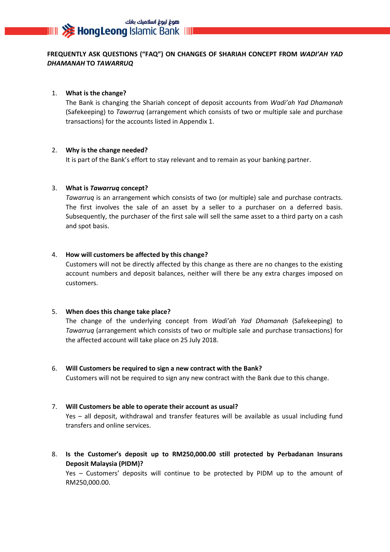## **FREQUENTLY ASK QUESTIONS ("FAQ") ON CHANGES OF SHARIAH CONCEPT FROM** *WADI'AH YAD DHAMANAH* **TO** *TAWARRUQ*

#### 1. **What is the change?**

The Bank is changing the Shariah concept of deposit accounts from *Wadi'ah Yad Dhamanah* (Safekeeping) to *Tawarruq* (arrangement which consists of two or multiple sale and purchase transactions) for the accounts listed in Appendix 1.

### 2. **Why is the change needed?**

It is part of the Bank's effort to stay relevant and to remain as your banking partner.

### 3. **What is** *Tawarruq* **concept?**

*Tawarruq* is an arrangement which consists of two (or multiple) sale and purchase contracts. The first involves the sale of an asset by a seller to a purchaser on a deferred basis. Subsequently, the purchaser of the first sale will sell the same asset to a third party on a cash and spot basis.

### 4. **How will customers be affected by this change?**

Customers will not be directly affected by this change as there are no changes to the existing account numbers and deposit balances, neither will there be any extra charges imposed on customers.

#### 5. **When does this change take place?**

The change of the underlying concept from *Wadi'ah Yad Dhamanah* (Safekeeping) to *Tawarruq* (arrangement which consists of two or multiple sale and purchase transactions) for the affected account will take place on 25 July 2018.

# 6. **Will Customers be required to sign a new contract with the Bank?**

Customers will not be required to sign any new contract with the Bank due to this change.

## 7. **Will Customers be able to operate their account as usual?**

Yes – all deposit, withdrawal and transfer features will be available as usual including fund transfers and online services.

8. **Is the Customer's deposit up to RM250,000.00 still protected by Perbadanan Insurans Deposit Malaysia (PIDM)?**

Yes – Customers' deposits will continue to be protected by PIDM up to the amount of RM250,000.00.